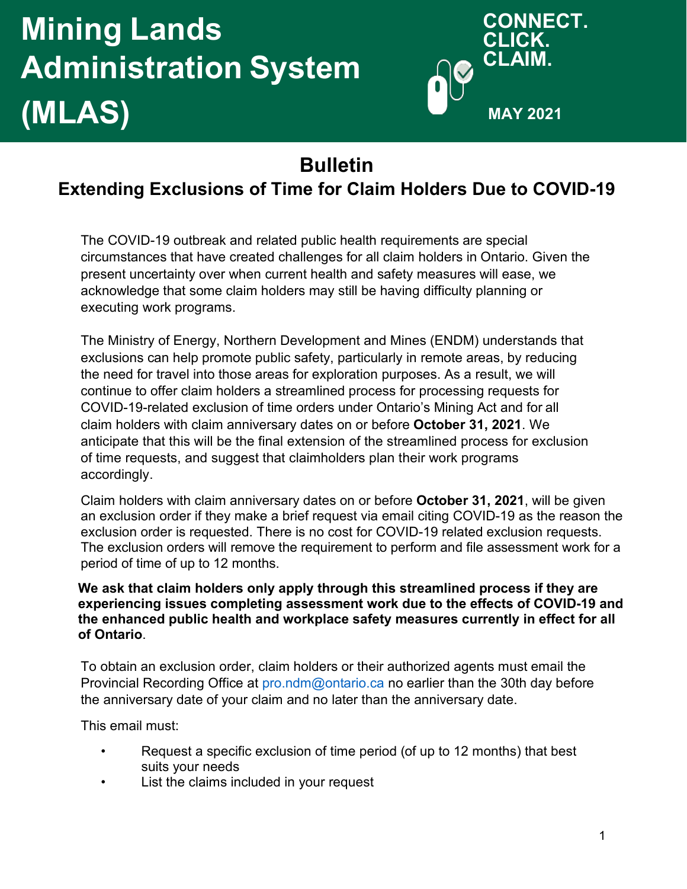# **Mining Lands Administration System (MLAS)**



# **Bulletin**

# **Extending Exclusions of Time for Claim Holders Due to COVID-19**

The COVID-19 outbreak and related public health requirements are special circumstances that have created challenges for all claim holders in Ontario. Given the present uncertainty over when current health and safety measures will ease, we acknowledge that some claim holders may still be having difficulty planning or executing work programs.

The Ministry of Energy, Northern Development and Mines (ENDM) understands that exclusions can help promote public safety, particularly in remote areas, by reducing the need for travel into those areas for exploration purposes. As a result, we will continue to offer claim holders a streamlined process for processing requests for COVID-19-related exclusion of time orders under Ontario's Mining Act and for all claim holders with claim anniversary dates on or before **October 31, 2021**. We anticipate that this will be the final extension of the streamlined process for exclusion of time requests, and suggest that claimholders plan their work programs accordingly.

Claim holders with claim anniversary dates on or before **October 31, 2021**, will be given an exclusion order if they make a brief request via email citing COVID-19 as the reason the exclusion order is requested. There is no cost for COVID-19 related exclusion requests. The exclusion orders will remove the requirement to perform and file assessment work for a period of time of up to 12 months.

#### **We ask that claim holders only apply through this streamlined process if they are experiencing issues completing assessment work due to the effects of COVID-19 and the enhanced public health and workplace safety measures currently in effect for all of Ontario**.

To obtain an exclusion order, claim holders or their authorized agents must email the Provincial Recording Office at [pro.ndm@ontario.ca no](mailto:pro.ndm@ontario.ca) earlier than the 30th day before the anniversary date of your claim and no later than the anniversary date.

This email must:

- Request a specific exclusion of time period (of up to 12 months) that best suits your needs
- List the claims included in your request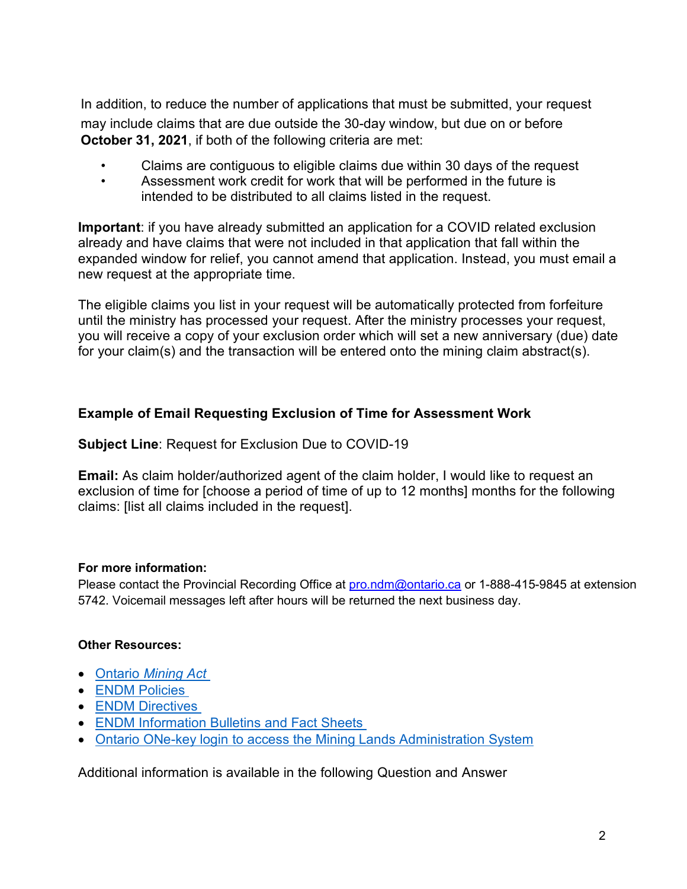In addition, to reduce the number of applications that must be submitted, your request may include claims that are due outside the 30-day window, but due on or before **October 31, 2021**, if both of the following criteria are met:

- Claims are contiguous to eligible claims due within 30 days of the request
- Assessment work credit for work that will be performed in the future is intended to be distributed to all claims listed in the request.

**Important**: if you have already submitted an application for a COVID related exclusion already and have claims that were not included in that application that fall within the expanded window for relief, you cannot amend that application. Instead, you must email a new request at the appropriate time.

The eligible claims you list in your request will be automatically protected from forfeiture until the ministry has processed your request. After the ministry processes your request, you will receive a copy of your exclusion order which will set a new anniversary (due) date for your claim(s) and the transaction will be entered onto the mining claim abstract(s).

# **Example of Email Requesting Exclusion of Time for Assessment Work**

# **Subject Line**: Request for Exclusion Due to COVID-19

**Email:** As claim holder/authorized agent of the claim holder, I would like to request an exclusion of time for [choose a period of time of up to 12 months] months for the following claims: [list all claims included in the request].

# **For more information:**

Please contact the Provincial Recording Office at [pro.ndm@ontario.ca](mailto:pro.ndm@ontario.ca) or 1-888-415-9845 at extension 5742. Voicemail messages left after hours will be returned the next business day.

# **Other Resources:**

- Ontario *[Mining Act](https://www.ontario.ca/laws/statute/90m14)*
- ENDM [Policies](http://www.geologyontario.mndm.gov.on.ca/mines/lands/policies/default_e.html)
- **ENDM [Directives](https://www.mndm.gov.on.ca/en/mines-and-minerals/mining-act-policies-standards-and-directives#simple-table-of-contents-3)**
- [ENDM Information Bulletins and Fact Sheets](https://www.mndm.gov.on.ca/en/mines-and-minerals/mining-act/mining-lands-administration#simple-table-of-contents-9)
- Ontario ONe-key login [to access the Mining Lands Administration System](https://www.one-key.gov.on.ca/iaalogin/IAALogin.jsp)

Additional information is available in the following Question and Answer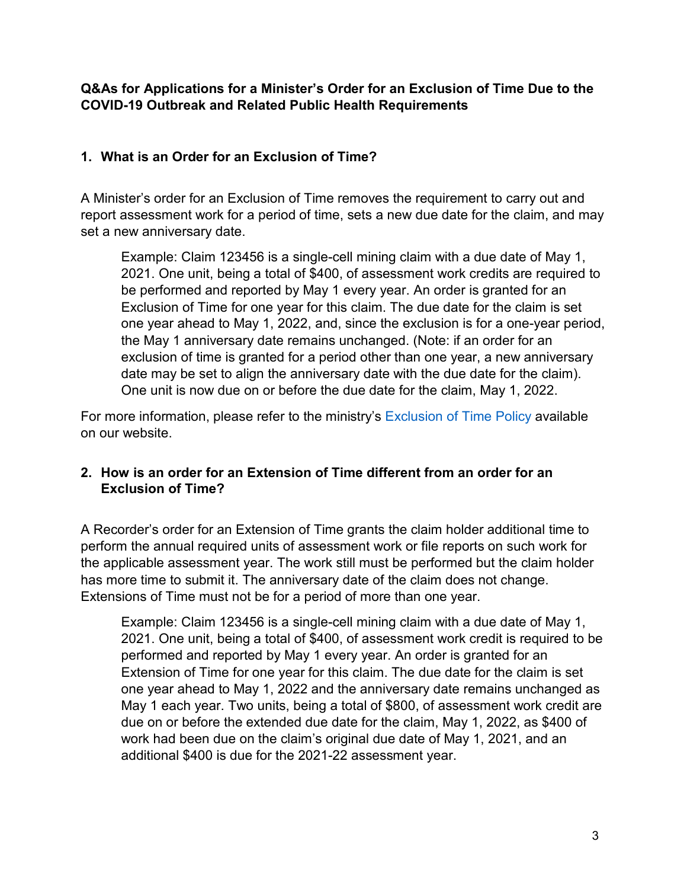# **Q&As for Applications for a Minister's Order for an Exclusion of Time Due to the COVID-19 Outbreak and Related Public Health Requirements**

# **1. What is an Order for an Exclusion of Time?**

A Minister's order for an Exclusion of Time removes the requirement to carry out and report assessment work for a period of time, sets a new due date for the claim, and may set a new anniversary date.

Example: Claim 123456 is a single-cell mining claim with a due date of May 1, 2021. One unit, being a total of \$400, of assessment work credits are required to be performed and reported by May 1 every year. An order is granted for an Exclusion of Time for one year for this claim. The due date for the claim is set one year ahead to May 1, 2022, and, since the exclusion is for a one-year period, the May 1 anniversary date remains unchanged. (Note: if an order for an exclusion of time is granted for a period other than one year, a new anniversary date may be set to align the anniversary date with the due date for the claim). One unit is now due on or before the due date for the claim, May 1, 2022.

For more information, please refer to the ministry's [Exclusion of Time Policy](http://www.geologyontario.mndm.gov.on.ca/mines/lands/policies/exclusion_of_time_policy_e.html) available on our website.

# **2. How is an order for an Extension of Time different from an order for an Exclusion of Time?**

A Recorder's order for an Extension of Time grants the claim holder additional time to perform the annual required units of assessment work or file reports on such work for the applicable assessment year. The work still must be performed but the claim holder has more time to submit it. The anniversary date of the claim does not change. Extensions of Time must not be for a period of more than one year.

Example: Claim 123456 is a single-cell mining claim with a due date of May 1, 2021. One unit, being a total of \$400, of assessment work credit is required to be performed and reported by May 1 every year. An order is granted for an Extension of Time for one year for this claim. The due date for the claim is set one year ahead to May 1, 2022 and the anniversary date remains unchanged as May 1 each year. Two units, being a total of \$800, of assessment work credit are due on or before the extended due date for the claim, May 1, 2022, as \$400 of work had been due on the claim's original due date of May 1, 2021, and an additional \$400 is due for the 2021-22 assessment year.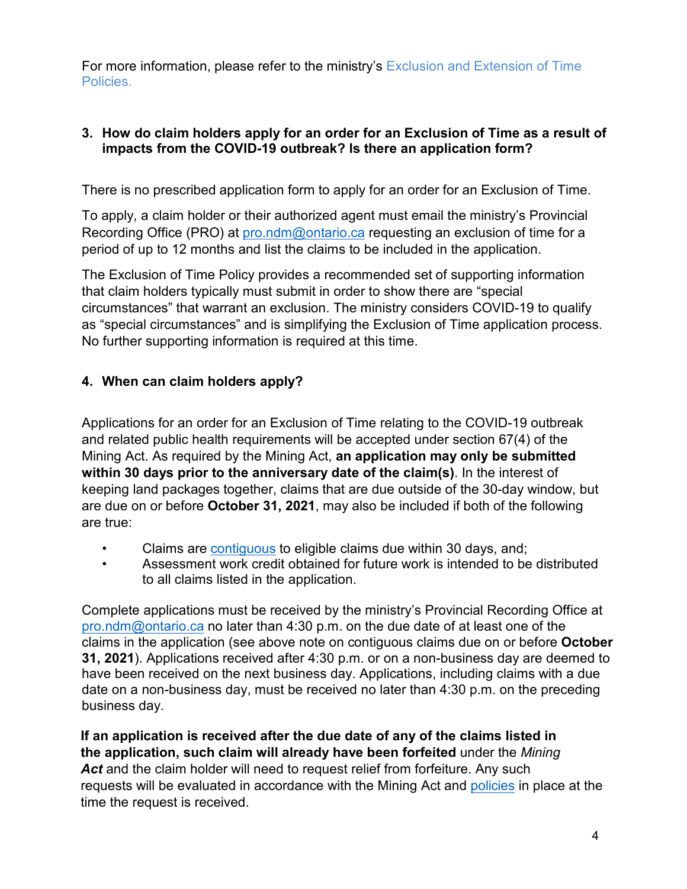<span id="page-3-0"></span>For more information, please refer to the ministry's Exclusion and Extension of Time [Policies.](http://www.geologyontario.mndm.gov.on.ca/mines/lands/policies/default_e.html)

# **3. How do claim holders apply for an order for an Exclusion of Time as a result of impacts from the COVID-19 outbreak? Is there an application form?**

There is no prescribed application form to apply for an order for an Exclusion of Time.

To apply, a claim holder or their authorized agent must email the ministry's Provincial Recording Office (PRO) at [pro.ndm@ontario.ca r](mailto:pro.ndm@ontario.ca)equesting an exclusion of time for a period of up to 12 months and list the claims to be included in the application.

The Exclusion of Time Policy provides a recommended set of supporting information that claim holders typically must submit in order to show there are "special circumstances" that warrant an exclusion. The ministry considers COVID-19 to qualify as "special circumstances" and is simplifying the Exclusion of Time application process. No further supporting information is required at this time.

# **4. When can claim holders apply?**

Applications for an order for an Exclusion of Time relating to the COVID-19 outbreak and related public health requirements will be accepted under section 67(4) of the Mining Act. As required by the Mining Act, **an application may only be submitted within 30 days prior to the anniversary date of the claim(s)**. In the interest of keeping land packages together, claims that are due outside of the 30-day window, but are due on or before **October 31, 2021**, may also be included if both of the following are true:

- Claims are [contiguous t](https://www.ontario.ca/laws/regulation/180065#BK25)o eligible claims due within 30 days, and;
- Assessment work credit obtained for future work is intended to be distributed to all claims listed in the application.

Complete applications must be received by the ministry's Provincial Recording Office at [pro.ndm@ontario.ca](mailto:pro.ndm@ontario.ca) no later than 4:30 p.m. on the due date of at least one of the claims in the application (see above note on contiguous claims due on or before **October 31, 2021**). Applications received after 4:30 p.m. or on a non-business day are deemed to have been received on the next business day. Applications, including claims with a due date on a non-business day, must be received no later than 4:30 p.m. on the preceding business day.

**If an application is received after the due date of any of the claims listed in the application, such claim will already have been forfeited** under the *Mining* Act and the claim holder will need to request relief from forfeiture. Any such requests will be evaluated in accordance with the Mining Act an[d policies](http://www.geologyontario.mndm.gov.on.ca/mines/lands/policies/relief_from_forfeiture_unpatented_policy_e.html) in place at the time the request is received.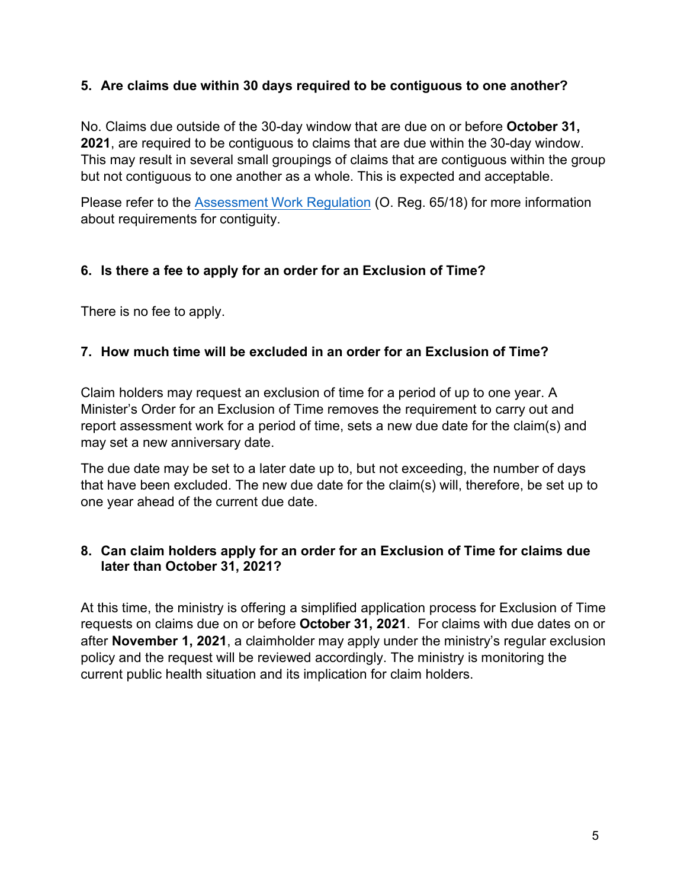# **5. Are claims due within 30 days required to be contiguous to one another?**

No. Claims due outside of the 30-day window that are due on or before **October 31, 2021**, are required to be contiguous to claims that are due within the 30-day window. This may result in several small groupings of claims that are contiguous within the group but not contiguous to one another as a whole. This is expected and acceptable.

Please refer to the Assessment [Work Regulation](https://www.ontario.ca/laws/regulation/180065) (O. Reg. 65/18) for more information about requirements for contiguity.

# **6. Is there a fee to apply for an order for an Exclusion of Time?**

There is no fee to apply.

# **7. How much time will be excluded in an order for an Exclusion of Time?**

Claim holders may request an exclusion of time for a period of up to one year. A Minister's Order for an Exclusion of Time removes the requirement to carry out and report assessment work for a period of time, sets a new due date for the claim(s) and may set a new anniversary date.

The due date may be set to a later date up to, but not exceeding, the number of days that have been excluded. The new due date for the claim(s) will, therefore, be set up to one year ahead of the current due date.

#### **8. Can claim holders apply for an order for an Exclusion of Time for claims due later than October 31, 2021?**

At this time, the ministry is offering a simplified application process for Exclusion of Time requests on claims due on or before **October 31, 2021**. For claims with due dates on or after **November 1, 2021**, a claimholder may apply under the ministry's regular exclusion policy and the request will be reviewed accordingly. The ministry is monitoring the current public health situation and its implication for claim holders.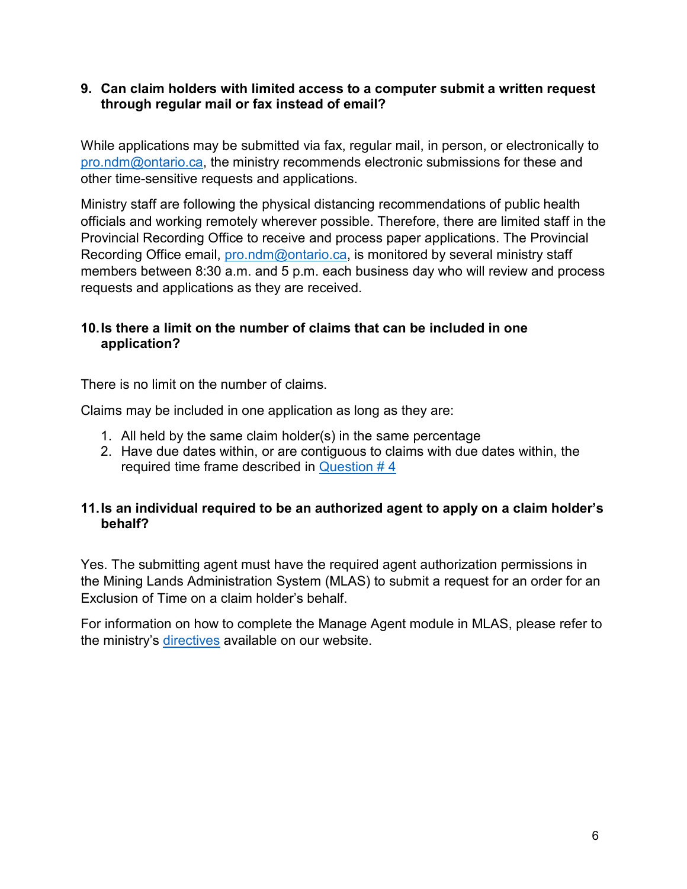#### **9. Can claim holders with limited access to a computer submit a written request through regular mail or fax instead of email?**

While applications may be submitted via fax, regular mail, in person, or electronically to [pro.ndm@ontario.ca,](mailto:pro.ndm@ontario.ca) the ministry recommends electronic submissions for these and other time-sensitive requests and applications.

Ministry staff are following the physical distancing recommendations of public health officials and working remotely wherever possible. Therefore, there are limited staff in the Provincial Recording Office to receive and process paper applications. The Provincial Recording Office email, [pro.ndm@ontario.ca,](mailto:pro.ndm@ontario.ca) is monitored by several ministry staff members between 8:30 a.m. and 5 p.m. each business day who will review and process requests and applications as they are received.

# **10. Is there a limit on the number of claims that can be included in one application?**

There is no limit on the number of claims.

Claims may be included in one application as long as they are:

- 1. All held by the same claim holder(s) in the same percentage
- 2. Have due dates within, or are contiguous to claims with due dates within, the required time frame described in Question  $# 4$

# **11. Is an individual required to be an authorized agent to apply on a claim holder's behalf?**

Yes. The submitting agent must have the required agent authorization permissions in the Mining Lands Administration System (MLAS) to submit a request for an order for an Exclusion of Time on a claim holder's behalf.

For information on how to complete the Manage Agent module in MLAS, please refer to the ministry's [directives a](https://www.mndm.gov.on.ca/en/mines-and-minerals/mlas/directive1-getting-started#simple-table-of-contents-9)vailable on our website.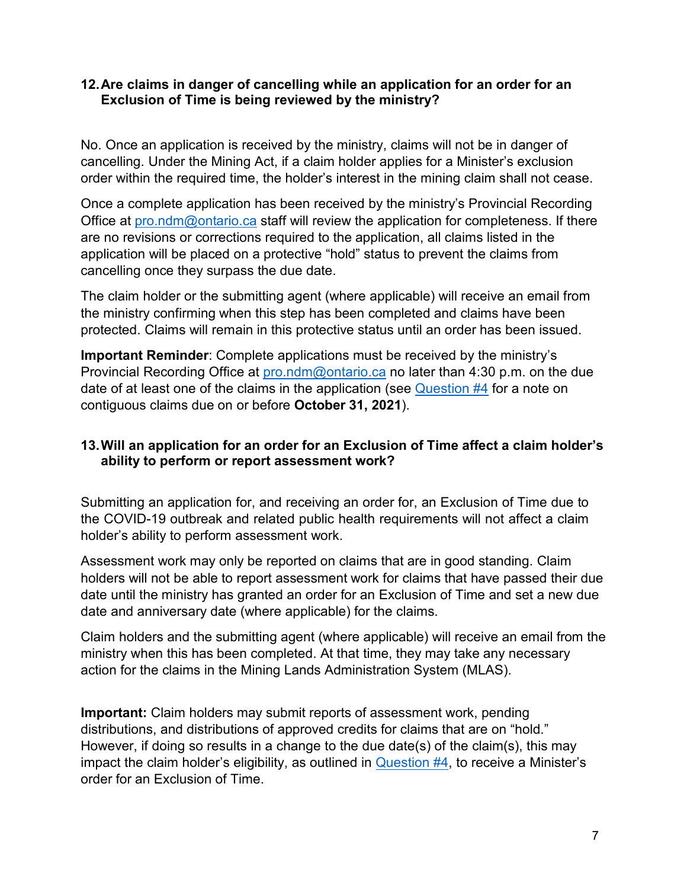#### **12. Are claims in danger of cancelling while an application for an order for an Exclusion of Time is being reviewed by the ministry?**

No. Once an application is received by the ministry, claims will not be in danger of cancelling. Under the Mining Act, if a claim holder applies for a Minister's exclusion order within the required time, the holder's interest in the mining claim shall not cease.

Once a complete application has been received by the ministry's Provincial Recording Office at [pro.ndm@ontario.ca s](mailto:pro.ndm@ontario.ca)taff will review the application for completeness. If there are no revisions or corrections required to the application, all claims listed in the application will be placed on a protective "hold" status to prevent the claims from cancelling once they surpass the due date.

The claim holder or the submitting agent (where applicable) will receive an email from the ministry confirming when this step has been completed and claims have been protected. Claims will remain in this protective status until an order has been issued.

**Important Reminder**: Complete applications must be received by the ministry's Provincial Recording Office at [pro.ndm@ontario.ca n](mailto:pro.ndm@ontario.ca)o later than 4:30 p.m. on the due date of at least one of the claims in the application (see [Question #4 f](#page-3-0)or a note on contiguous claims due on or before **October 31, 2021**).

# **13. Will an application for an order for an Exclusion of Time affect a claim holder's ability to perform or report assessment work?**

Submitting an application for, and receiving an order for, an Exclusion of Time due to the COVID-19 outbreak and related public health requirements will not affect a claim holder's ability to perform assessment work.

Assessment work may only be reported on claims that are in good standing. Claim holders will not be able to report assessment work for claims that have passed their due date until the ministry has granted an order for an Exclusion of Time and set a new due date and anniversary date (where applicable) for the claims.

Claim holders and the submitting agent (where applicable) will receive an email from the ministry when this has been completed. At that time, they may take any necessary action for the claims in the Mining Lands Administration System (MLAS).

**Important:** Claim holders may submit reports of assessment work, pending distributions, and distributions of approved credits for claims that are on "hold." However, if doing so results in a change to the due date(s) of the claim(s), this may impact the claim holder's eligibility, as outlined in [Question #4,](#page-3-0) to receive a Minister's order for an Exclusion of Time.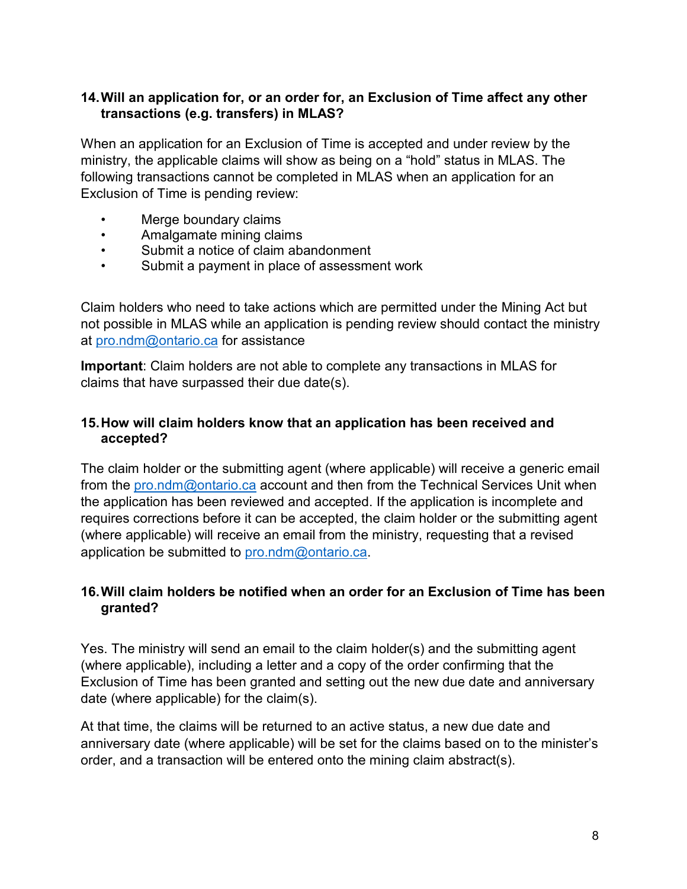#### **14. Will an application for, or an order for, an Exclusion of Time affect any other transactions (e.g. transfers) in MLAS?**

When an application for an Exclusion of Time is accepted and under review by the ministry, the applicable claims will show as being on a "hold" status in MLAS. The following transactions cannot be completed in MLAS when an application for an Exclusion of Time is pending review:

- Merge boundary claims
- Amalgamate mining claims
- Submit a notice of claim abandonment
- Submit a payment in place of assessment work

Claim holders who need to take actions which are permitted under the Mining Act but not possible in MLAS while an application is pending review should contact the ministry at [pro.ndm@ontario.ca f](mailto:pro.ndm@ontario.ca)or assistance

**Important**: Claim holders are not able to complete any transactions in MLAS for claims that have surpassed their due date(s).

#### **15. How will claim holders know that an application has been received and accepted?**

The claim holder or the submitting agent (where applicable) will receive a generic email from the [pro.ndm@ontario.ca a](mailto:pro.ndm@ontario.ca)ccount and then from the Technical Services Unit when the application has been reviewed and accepted. If the application is incomplete and requires corrections before it can be accepted, the claim holder or the submitting agent (where applicable) will receive an email from the ministry, requesting that a revised application be submitted to [pro.ndm@ontario.ca.](mailto:pro.ndm@ontario.ca)

# **16. Will claim holders be notified when an order for an Exclusion of Time has been granted?**

Yes. The ministry will send an email to the claim holder(s) and the submitting agent (where applicable), including a letter and a copy of the order confirming that the Exclusion of Time has been granted and setting out the new due date and anniversary date (where applicable) for the claim(s).

At that time, the claims will be returned to an active status, a new due date and anniversary date (where applicable) will be set for the claims based on to the minister's order, and a transaction will be entered onto the mining claim abstract(s).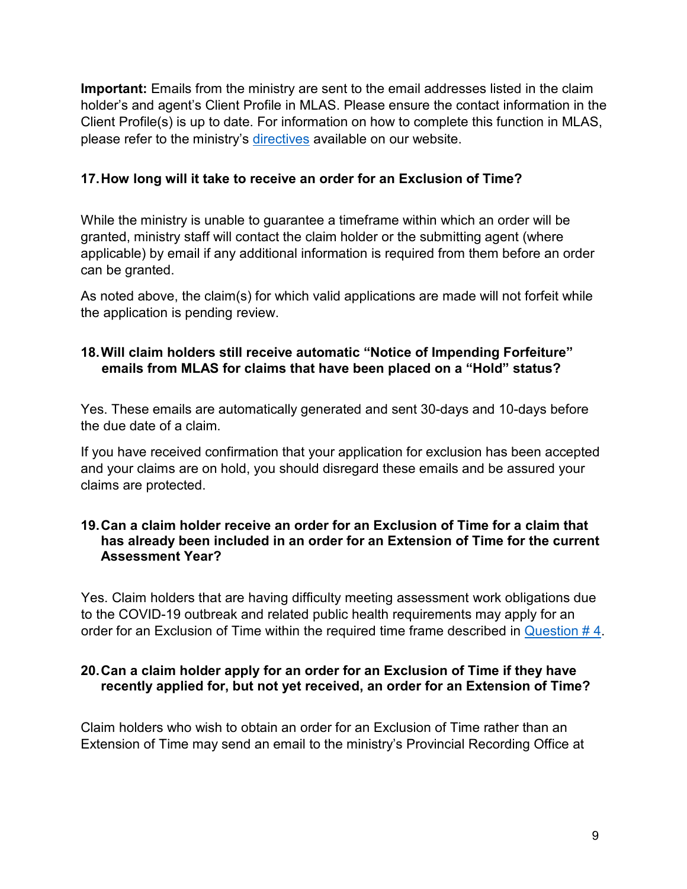**Important:** Emails from the ministry are sent to the email addresses listed in the claim holder's and agent's Client Profile in MLAS. Please ensure the contact information in the Client Profile(s) is up to date. For information on how to complete this function in MLAS, please refer to the ministry's [directives a](https://www.mndm.gov.on.ca/en/mines-and-minerals/mlas/directive1-getting-started#simple-table-of-contents-8)vailable on our website.

# **17. How long will it take to receive an order for an Exclusion of Time?**

While the ministry is unable to guarantee a timeframe within which an order will be granted, ministry staff will contact the claim holder or the submitting agent (where applicable) by email if any additional information is required from them before an order can be granted.

As noted above, the claim(s) for which valid applications are made will not forfeit while the application is pending review.

### **18. Will claim holders still receive automatic "Notice of Impending Forfeiture" emails from MLAS for claims that have been placed on a "Hold" status?**

Yes. These emails are automatically generated and sent 30-days and 10-days before the due date of a claim.

If you have received confirmation that your application for exclusion has been accepted and your claims are on hold, you should disregard these emails and be assured your claims are protected.

#### **19. Can a claim holder receive an order for an Exclusion of Time for a claim that has already been included in an order for an Extension of Time for the current Assessment Year?**

Yes. Claim holders that are having difficulty meeting assessment work obligations due to the COVID-19 outbreak and related public health requirements may apply for an order for an Exclusion of Time within the required time frame described in Question  $#4$ .

# **20. Can a claim holder apply for an order for an Exclusion of Time if they have recently applied for, but not yet received, an order for an Extension of Time?**

Claim holders who wish to obtain an order for an Exclusion of Time rather than an Extension of Time may send an email to the ministry's Provincial Recording Office at